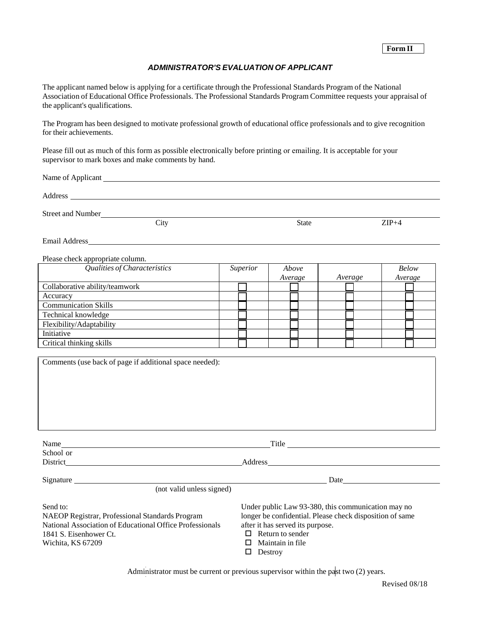## *ADMINISTRATOR'S EVALUATION OF APPLICANT*

The applicant named below is applying for a certificate through the Professional Standards Program of the National Association of Educational Office Professionals. The Professional Standards Program Committee requests your appraisal of the applicant's qualifications.

The Program has been designed to motivate professional growth of educational office professionals and to give recognition for their achievements.

Please fill out as much of this form as possible electronically before printing or emailing. It is acceptable for your supervisor to mark boxes and make comments by hand.

Name of Applicant League and Section 2014 and 2016 and 2016 and 2017 and 2018 and 2018 and 2018 and 2018 and 2018 and 2018 and 2018 and 2018 and 2018 and 2018 and 2018 and 2018 and 2018 and 2018 and 2018 and 2018 and 2018

Address and the contract of the contract of the contract of the contract of the contract of the contract of the contract of the contract of the contract of the contract of the contract of the contract of the contract of th

Street and Number

Wichita, KS 67209

City State  $\qquad \qquad \text{2IP+4}$ 

Email Address

Please check appropriate column.

| Qualities of Characteristics   | <b>Superior</b> | Above   |         | <b>Below</b> |
|--------------------------------|-----------------|---------|---------|--------------|
|                                |                 | Average | Average | Average      |
| Collaborative ability/teamwork |                 |         |         |              |
| Accuracy                       |                 |         |         |              |
| <b>Communication Skills</b>    |                 |         |         |              |
| Technical knowledge            |                 |         |         |              |
| Flexibility/Adaptability       |                 |         |         |              |
| Initiative                     |                 |         |         |              |
| Critical thinking skills       |                 |         |         |              |

| Comments (use back of page if additional space needed):  |                                                                                                                                                                                                                                      |  |  |
|----------------------------------------------------------|--------------------------------------------------------------------------------------------------------------------------------------------------------------------------------------------------------------------------------------|--|--|
|                                                          |                                                                                                                                                                                                                                      |  |  |
|                                                          |                                                                                                                                                                                                                                      |  |  |
|                                                          |                                                                                                                                                                                                                                      |  |  |
|                                                          |                                                                                                                                                                                                                                      |  |  |
|                                                          |                                                                                                                                                                                                                                      |  |  |
|                                                          |                                                                                                                                                                                                                                      |  |  |
|                                                          |                                                                                                                                                                                                                                      |  |  |
| Name                                                     | Title <u>and the series of the series of the series of the series of the series of the series of the series of the series of the series of the series of the series of the series of the series of the series of the series of t</u> |  |  |
| School or                                                |                                                                                                                                                                                                                                      |  |  |
| District                                                 | <b>Address</b>                                                                                                                                                                                                                       |  |  |
| Signature                                                | Date $\frac{1}{\sqrt{1-\frac{1}{2}}\cdot\frac{1}{\sqrt{1-\frac{1}{2}}}}$                                                                                                                                                             |  |  |
| (not valid unless signed)                                |                                                                                                                                                                                                                                      |  |  |
|                                                          |                                                                                                                                                                                                                                      |  |  |
| Send to:                                                 | Under public Law 93-380, this communication may no                                                                                                                                                                                   |  |  |
| NAEOP Registrar, Professional Standards Program          | longer be confidential. Please check disposition of same                                                                                                                                                                             |  |  |
| National Association of Educational Office Professionals | after it has served its purpose.                                                                                                                                                                                                     |  |  |
| 1841 S. Eisenhower Ct.                                   | Return to sender<br>□                                                                                                                                                                                                                |  |  |

 $\Box$  Return to sender

 $\Box$  Maintain in file  $\Gamma$ 

| Destroy |  |
|---------|--|
|         |  |

Administrator must be current or previous supervisor within the past two (2) years.